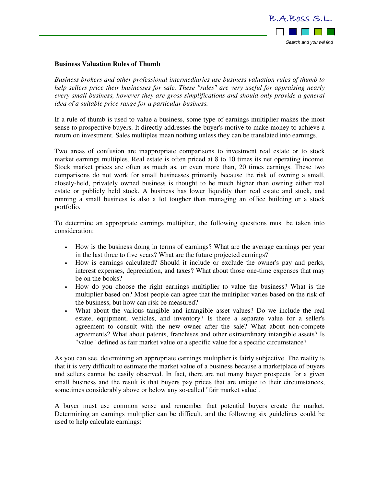

## **Business Valuation Rules of Thumb**

*Business brokers and other professional intermediaries use business valuation rules of thumb to help sellers price their businesses for sale. These "rules" are very useful for appraising nearly every small business, however they are gross simplifications and should only provide a general idea of a suitable price range for a particular business.* 

If a rule of thumb is used to value a business, some type of earnings multiplier makes the most sense to prospective buyers. It directly addresses the buyer's motive to make money to achieve a return on investment. Sales multiples mean nothing unless they can be translated into earnings.

Two areas of confusion are inappropriate comparisons to investment real estate or to stock market earnings multiples. Real estate is often priced at 8 to 10 times its net operating income. Stock market prices are often as much as, or even more than, 20 times earnings. These two comparisons do not work for small businesses primarily because the risk of owning a small, closely-held, privately owned business is thought to be much higher than owning either real estate or publicly held stock. A business has lower liquidity than real estate and stock, and running a small business is also a lot tougher than managing an office building or a stock portfolio.

To determine an appropriate earnings multiplier, the following questions must be taken into consideration:

- How is the business doing in terms of earnings? What are the average earnings per year in the last three to five years? What are the future projected earnings?
- How is earnings calculated? Should it include or exclude the owner's pay and perks, interest expenses, depreciation, and taxes? What about those one-time expenses that may be on the books?
- How do you choose the right earnings multiplier to value the business? What is the multiplier based on? Most people can agree that the multiplier varies based on the risk of the business, but how can risk be measured?
- What about the various tangible and intangible asset values? Do we include the real estate, equipment, vehicles, and inventory? Is there a separate value for a seller's agreement to consult with the new owner after the sale? What about non-compete agreements? What about patents, franchises and other extraordinary intangible assets? Is "value" defined as fair market value or a specific value for a specific circumstance?

As you can see, determining an appropriate earnings multiplier is fairly subjective. The reality is that it is very difficult to estimate the market value of a business because a marketplace of buyers and sellers cannot be easily observed. In fact, there are not many buyer prospects for a given small business and the result is that buyers pay prices that are unique to their circumstances, sometimes considerably above or below any so-called "fair market value".

A buyer must use common sense and remember that potential buyers create the market. Determining an earnings multiplier can be difficult, and the following six guidelines could be used to help calculate earnings: